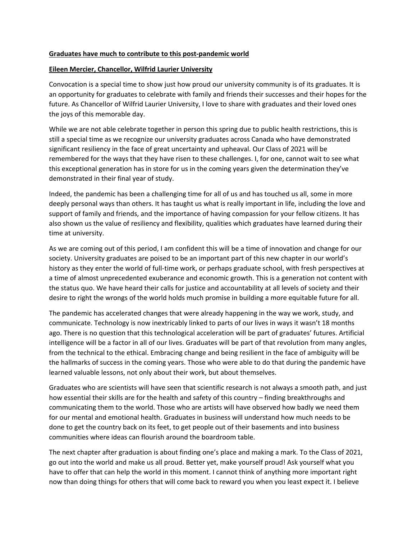## **Graduates have much to contribute to this post-pandemic world**

## **Eileen Mercier, Chancellor, Wilfrid Laurier University**

Convocation is a special time to show just how proud our university community is of its graduates. It is an opportunity for graduates to celebrate with family and friends their successes and their hopes for the future. As Chancellor of Wilfrid Laurier University, I love to share with graduates and their loved ones the joys of this memorable day.

While we are not able celebrate together in person this spring due to public health restrictions, this is still a special time as we recognize our university graduates across Canada who have demonstrated significant resiliency in the face of great uncertainty and upheaval. Our Class of 2021 will be remembered for the ways that they have risen to these challenges. I, for one, cannot wait to see what this exceptional generation has in store for us in the coming years given the determination they've demonstrated in their final year of study.

Indeed, the pandemic has been a challenging time for all of us and has touched us all, some in more deeply personal ways than others. It has taught us what is really important in life, including the love and support of family and friends, and the importance of having compassion for your fellow citizens. It has also shown us the value of resiliency and flexibility, qualities which graduates have learned during their time at university.

As we are coming out of this period, I am confident this will be a time of innovation and change for our society. University graduates are poised to be an important part of this new chapter in our world's history as they enter the world of full-time work, or perhaps graduate school, with fresh perspectives at a time of almost unprecedented exuberance and economic growth. This is a generation not content with the status quo. We have heard their calls for justice and accountability at all levels of society and their desire to right the wrongs of the world holds much promise in building a more equitable future for all.

The pandemic has accelerated changes that were already happening in the way we work, study, and communicate. Technology is now inextricably linked to parts of our lives in ways it wasn't 18 months ago. There is no question that this technological acceleration will be part of graduates' futures. Artificial intelligence will be a factor in all of our lives. Graduates will be part of that revolution from many angles, from the technical to the ethical. Embracing change and being resilient in the face of ambiguity will be the hallmarks of success in the coming years. Those who were able to do that during the pandemic have learned valuable lessons, not only about their work, but about themselves.

Graduates who are scientists will have seen that scientific research is not always a smooth path, and just how essential their skills are for the health and safety of this country – finding breakthroughs and communicating them to the world. Those who are artists will have observed how badly we need them for our mental and emotional health. Graduates in business will understand how much needs to be done to get the country back on its feet, to get people out of their basements and into business communities where ideas can flourish around the boardroom table.

The next chapter after graduation is about finding one's place and making a mark. To the Class of 2021, go out into the world and make us all proud. Better yet, make yourself proud! Ask yourself what you have to offer that can help the world in this moment. I cannot think of anything more important right now than doing things for others that will come back to reward you when you least expect it. I believe